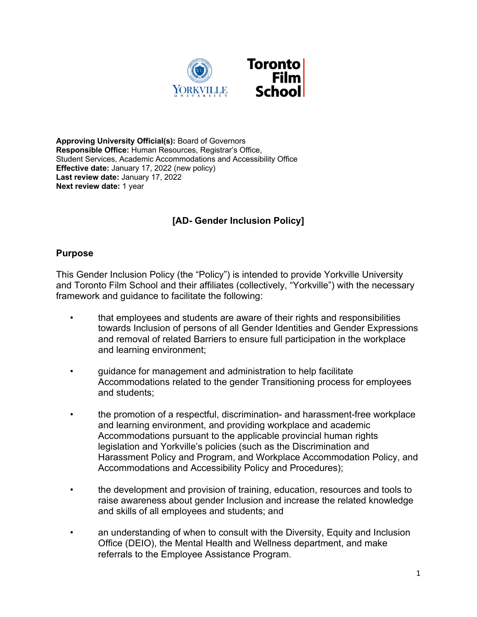

**Approving University Official(s):** Board of Governors **Responsible Office:** Human Resources, Registrar's Office, Student Services, Academic Accommodations and Accessibility Office **Effective date:** January 17, 2022 (new policy) **Last review date:** January 17, 2022 **Next review date:** 1 year

# **[AD- Gender Inclusion Policy]**

### **Purpose**

This Gender Inclusion Policy (the "Policy") is intended to provide Yorkville University and Toronto Film School and their affiliates (collectively, "Yorkville") with the necessary framework and guidance to facilitate the following:

- that employees and students are aware of their rights and responsibilities towards Inclusion of persons of all Gender Identities and Gender Expressions and removal of related Barriers to ensure full participation in the workplace and learning environment;
- guidance for management and administration to help facilitate Accommodations related to the gender Transitioning process for employees and students;
- the promotion of a respectful, discrimination- and harassment-free workplace and learning environment, and providing workplace and academic Accommodations pursuant to the applicable provincial human rights legislation and Yorkville's policies (such as the Discrimination and Harassment Policy and Program, and Workplace Accommodation Policy, and Accommodations and Accessibility Policy and Procedures);
- the development and provision of training, education, resources and tools to raise awareness about gender Inclusion and increase the related knowledge and skills of all employees and students; and
- an understanding of when to consult with the Diversity, Equity and Inclusion Office (DEIO), the Mental Health and Wellness department, and make referrals to the Employee Assistance Program.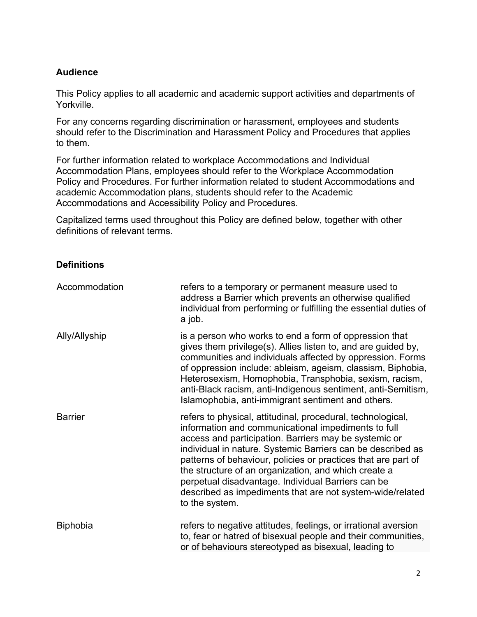## **Audience**

This Policy applies to all academic and academic support activities and departments of Yorkville.

For any concerns regarding discrimination or harassment, employees and students should refer to the Discrimination and Harassment Policy and Procedures that applies to them.

For further information related to workplace Accommodations and Individual Accommodation Plans, employees should refer to the Workplace Accommodation Policy and Procedures. For further information related to student Accommodations and academic Accommodation plans, students should refer to the Academic Accommodations and Accessibility Policy and Procedures.

Capitalized terms used throughout this Policy are defined below, together with other definitions of relevant terms.

### **Definitions**

| Accommodation   | refers to a temporary or permanent measure used to<br>address a Barrier which prevents an otherwise qualified<br>individual from performing or fulfilling the essential duties of<br>a job.                                                                                                                                                                                                                                                                                                              |
|-----------------|----------------------------------------------------------------------------------------------------------------------------------------------------------------------------------------------------------------------------------------------------------------------------------------------------------------------------------------------------------------------------------------------------------------------------------------------------------------------------------------------------------|
| Ally/Allyship   | is a person who works to end a form of oppression that<br>gives them privilege(s). Allies listen to, and are guided by,<br>communities and individuals affected by oppression. Forms<br>of oppression include: ableism, ageism, classism, Biphobia,<br>Heterosexism, Homophobia, Transphobia, sexism, racism,<br>anti-Black racism, anti-Indigenous sentiment, anti-Semitism,<br>Islamophobia, anti-immigrant sentiment and others.                                                                      |
| <b>Barrier</b>  | refers to physical, attitudinal, procedural, technological,<br>information and communicational impediments to full<br>access and participation. Barriers may be systemic or<br>individual in nature. Systemic Barriers can be described as<br>patterns of behaviour, policies or practices that are part of<br>the structure of an organization, and which create a<br>perpetual disadvantage. Individual Barriers can be<br>described as impediments that are not system-wide/related<br>to the system. |
| <b>Biphobia</b> | refers to negative attitudes, feelings, or irrational aversion<br>to, fear or hatred of bisexual people and their communities,<br>or of behaviours stereotyped as bisexual, leading to                                                                                                                                                                                                                                                                                                                   |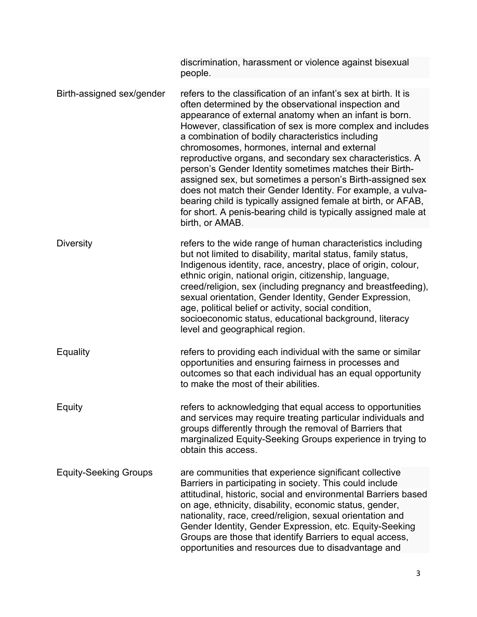|                              | discrimination, harassment or violence against bisexual<br>people.                                                                                                                                                                                                                                                                                                                                                                                                                                                                                                                                                                                                                                                                                              |
|------------------------------|-----------------------------------------------------------------------------------------------------------------------------------------------------------------------------------------------------------------------------------------------------------------------------------------------------------------------------------------------------------------------------------------------------------------------------------------------------------------------------------------------------------------------------------------------------------------------------------------------------------------------------------------------------------------------------------------------------------------------------------------------------------------|
| Birth-assigned sex/gender    | refers to the classification of an infant's sex at birth. It is<br>often determined by the observational inspection and<br>appearance of external anatomy when an infant is born.<br>However, classification of sex is more complex and includes<br>a combination of bodily characteristics including<br>chromosomes, hormones, internal and external<br>reproductive organs, and secondary sex characteristics. A<br>person's Gender Identity sometimes matches their Birth-<br>assigned sex, but sometimes a person's Birth-assigned sex<br>does not match their Gender Identity. For example, a vulva-<br>bearing child is typically assigned female at birth, or AFAB,<br>for short. A penis-bearing child is typically assigned male at<br>birth, or AMAB. |
| <b>Diversity</b>             | refers to the wide range of human characteristics including<br>but not limited to disability, marital status, family status,<br>Indigenous identity, race, ancestry, place of origin, colour,<br>ethnic origin, national origin, citizenship, language,<br>creed/religion, sex (including pregnancy and breastfeeding),<br>sexual orientation, Gender Identity, Gender Expression,<br>age, political belief or activity, social condition,<br>socioeconomic status, educational background, literacy<br>level and geographical region.                                                                                                                                                                                                                          |
| Equality                     | refers to providing each individual with the same or similar<br>opportunities and ensuring fairness in processes and<br>outcomes so that each individual has an equal opportunity<br>to make the most of their abilities.                                                                                                                                                                                                                                                                                                                                                                                                                                                                                                                                       |
| Equity                       | refers to acknowledging that equal access to opportunities<br>and services may require treating particular individuals and<br>groups differently through the removal of Barriers that<br>marginalized Equity-Seeking Groups experience in trying to<br>obtain this access.                                                                                                                                                                                                                                                                                                                                                                                                                                                                                      |
| <b>Equity-Seeking Groups</b> | are communities that experience significant collective<br>Barriers in participating in society. This could include<br>attitudinal, historic, social and environmental Barriers based<br>on age, ethnicity, disability, economic status, gender,<br>nationality, race, creed/religion, sexual orientation and<br>Gender Identity, Gender Expression, etc. Equity-Seeking<br>Groups are those that identify Barriers to equal access,<br>opportunities and resources due to disadvantage and                                                                                                                                                                                                                                                                      |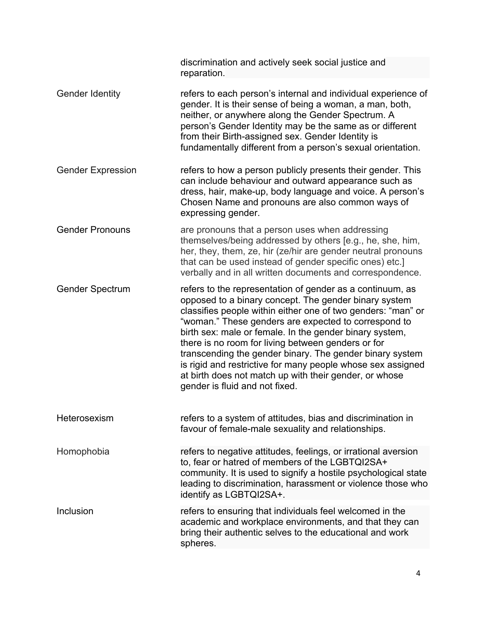|                          | discrimination and actively seek social justice and<br>reparation.                                                                                                                                                                                                                                                                                                                                                                                                                                                                                                                 |
|--------------------------|------------------------------------------------------------------------------------------------------------------------------------------------------------------------------------------------------------------------------------------------------------------------------------------------------------------------------------------------------------------------------------------------------------------------------------------------------------------------------------------------------------------------------------------------------------------------------------|
| <b>Gender Identity</b>   | refers to each person's internal and individual experience of<br>gender. It is their sense of being a woman, a man, both,<br>neither, or anywhere along the Gender Spectrum. A<br>person's Gender Identity may be the same as or different<br>from their Birth-assigned sex. Gender Identity is<br>fundamentally different from a person's sexual orientation.                                                                                                                                                                                                                     |
| <b>Gender Expression</b> | refers to how a person publicly presents their gender. This<br>can include behaviour and outward appearance such as<br>dress, hair, make-up, body language and voice. A person's<br>Chosen Name and pronouns are also common ways of<br>expressing gender.                                                                                                                                                                                                                                                                                                                         |
| <b>Gender Pronouns</b>   | are pronouns that a person uses when addressing<br>themselves/being addressed by others [e.g., he, she, him,<br>her, they, them, ze, hir (ze/hir are gender neutral pronouns<br>that can be used instead of gender specific ones) etc.]<br>verbally and in all written documents and correspondence.                                                                                                                                                                                                                                                                               |
| <b>Gender Spectrum</b>   | refers to the representation of gender as a continuum, as<br>opposed to a binary concept. The gender binary system<br>classifies people within either one of two genders: "man" or<br>"woman." These genders are expected to correspond to<br>birth sex: male or female. In the gender binary system,<br>there is no room for living between genders or for<br>transcending the gender binary. The gender binary system<br>is rigid and restrictive for many people whose sex assigned<br>at birth does not match up with their gender, or whose<br>gender is fluid and not fixed. |
| Heterosexism             | refers to a system of attitudes, bias and discrimination in<br>favour of female-male sexuality and relationships.                                                                                                                                                                                                                                                                                                                                                                                                                                                                  |
| Homophobia               | refers to negative attitudes, feelings, or irrational aversion<br>to, fear or hatred of members of the LGBTQI2SA+<br>community. It is used to signify a hostile psychological state<br>leading to discrimination, harassment or violence those who<br>identify as LGBTQI2SA+.                                                                                                                                                                                                                                                                                                      |
| Inclusion                | refers to ensuring that individuals feel welcomed in the<br>academic and workplace environments, and that they can<br>bring their authentic selves to the educational and work<br>spheres.                                                                                                                                                                                                                                                                                                                                                                                         |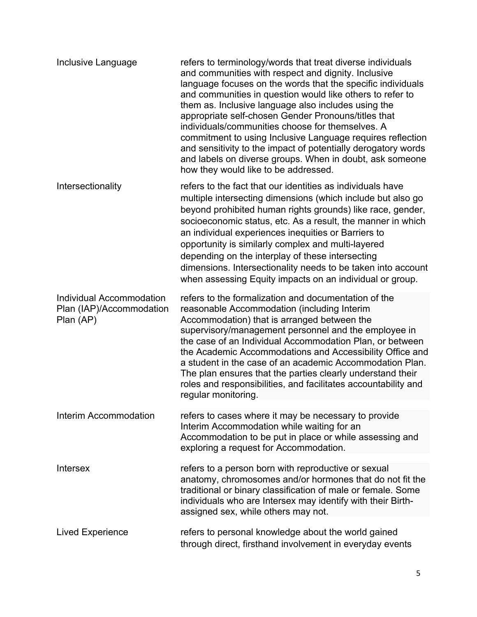| Inclusive Language                                                | refers to terminology/words that treat diverse individuals<br>and communities with respect and dignity. Inclusive<br>language focuses on the words that the specific individuals<br>and communities in question would like others to refer to<br>them as. Inclusive language also includes using the<br>appropriate self-chosen Gender Pronouns/titles that<br>individuals/communities choose for themselves. A<br>commitment to using Inclusive Language requires reflection<br>and sensitivity to the impact of potentially derogatory words<br>and labels on diverse groups. When in doubt, ask someone<br>how they would like to be addressed. |
|-------------------------------------------------------------------|----------------------------------------------------------------------------------------------------------------------------------------------------------------------------------------------------------------------------------------------------------------------------------------------------------------------------------------------------------------------------------------------------------------------------------------------------------------------------------------------------------------------------------------------------------------------------------------------------------------------------------------------------|
| Intersectionality                                                 | refers to the fact that our identities as individuals have<br>multiple intersecting dimensions (which include but also go<br>beyond prohibited human rights grounds) like race, gender,<br>socioeconomic status, etc. As a result, the manner in which<br>an individual experiences inequities or Barriers to<br>opportunity is similarly complex and multi-layered<br>depending on the interplay of these intersecting<br>dimensions. Intersectionality needs to be taken into account<br>when assessing Equity impacts on an individual or group.                                                                                                |
| Individual Accommodation<br>Plan (IAP)/Accommodation<br>Plan (AP) | refers to the formalization and documentation of the<br>reasonable Accommodation (including Interim<br>Accommodation) that is arranged between the<br>supervisory/management personnel and the employee in<br>the case of an Individual Accommodation Plan, or between<br>the Academic Accommodations and Accessibility Office and<br>a student in the case of an academic Accommodation Plan.<br>The plan ensures that the parties clearly understand their<br>roles and responsibilities, and facilitates accountability and<br>regular monitoring.                                                                                              |
| Interim Accommodation                                             | refers to cases where it may be necessary to provide<br>Interim Accommodation while waiting for an<br>Accommodation to be put in place or while assessing and<br>exploring a request for Accommodation.                                                                                                                                                                                                                                                                                                                                                                                                                                            |
| <b>Intersex</b>                                                   | refers to a person born with reproductive or sexual<br>anatomy, chromosomes and/or hormones that do not fit the<br>traditional or binary classification of male or female. Some<br>individuals who are Intersex may identify with their Birth-<br>assigned sex, while others may not.                                                                                                                                                                                                                                                                                                                                                              |
| Lived Experience                                                  | refers to personal knowledge about the world gained<br>through direct, firsthand involvement in everyday events                                                                                                                                                                                                                                                                                                                                                                                                                                                                                                                                    |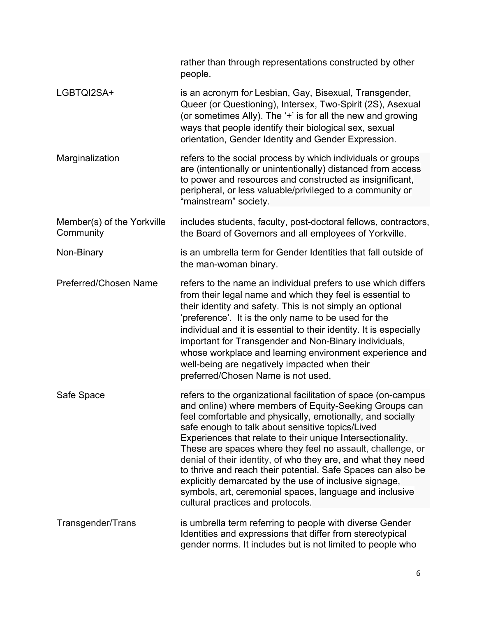|                                         | rather than through representations constructed by other<br>people.                                                                                                                                                                                                                                                                                                                                                                                                                                                                                                                                                                                              |
|-----------------------------------------|------------------------------------------------------------------------------------------------------------------------------------------------------------------------------------------------------------------------------------------------------------------------------------------------------------------------------------------------------------------------------------------------------------------------------------------------------------------------------------------------------------------------------------------------------------------------------------------------------------------------------------------------------------------|
| LGBTQI2SA+                              | is an acronym for Lesbian, Gay, Bisexual, Transgender,<br>Queer (or Questioning), Intersex, Two-Spirit (2S), Asexual<br>(or sometimes Ally). The '+' is for all the new and growing<br>ways that people identify their biological sex, sexual<br>orientation, Gender Identity and Gender Expression.                                                                                                                                                                                                                                                                                                                                                             |
| Marginalization                         | refers to the social process by which individuals or groups<br>are (intentionally or unintentionally) distanced from access<br>to power and resources and constructed as insignificant,<br>peripheral, or less valuable/privileged to a community or<br>"mainstream" society.                                                                                                                                                                                                                                                                                                                                                                                    |
| Member(s) of the Yorkville<br>Community | includes students, faculty, post-doctoral fellows, contractors,<br>the Board of Governors and all employees of Yorkville.                                                                                                                                                                                                                                                                                                                                                                                                                                                                                                                                        |
| Non-Binary                              | is an umbrella term for Gender Identities that fall outside of<br>the man-woman binary.                                                                                                                                                                                                                                                                                                                                                                                                                                                                                                                                                                          |
| Preferred/Chosen Name                   | refers to the name an individual prefers to use which differs<br>from their legal name and which they feel is essential to<br>their identity and safety. This is not simply an optional<br>'preference'. It is the only name to be used for the<br>individual and it is essential to their identity. It is especially<br>important for Transgender and Non-Binary individuals,<br>whose workplace and learning environment experience and<br>well-being are negatively impacted when their<br>preferred/Chosen Name is not used.                                                                                                                                 |
| Safe Space                              | refers to the organizational facilitation of space (on-campus<br>and online) where members of Equity-Seeking Groups can<br>feel comfortable and physically, emotionally, and socially<br>safe enough to talk about sensitive topics/Lived<br>Experiences that relate to their unique Intersectionality.<br>These are spaces where they feel no assault, challenge, or<br>denial of their identity, of who they are, and what they need<br>to thrive and reach their potential. Safe Spaces can also be<br>explicitly demarcated by the use of inclusive signage,<br>symbols, art, ceremonial spaces, language and inclusive<br>cultural practices and protocols. |
| Transgender/Trans                       | is umbrella term referring to people with diverse Gender<br>Identities and expressions that differ from stereotypical<br>gender norms. It includes but is not limited to people who                                                                                                                                                                                                                                                                                                                                                                                                                                                                              |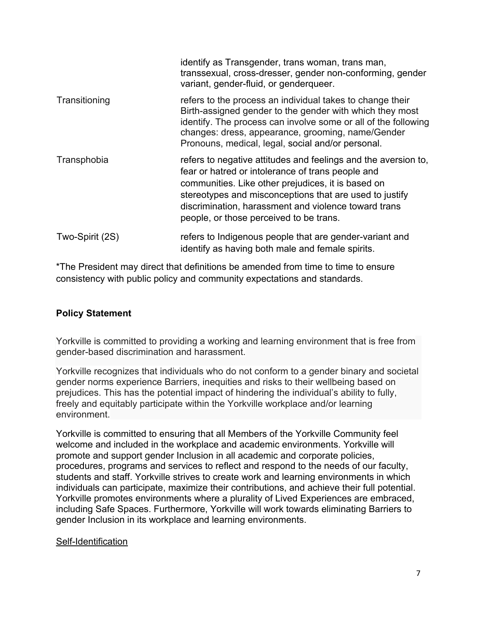|                 | identify as Transgender, trans woman, trans man,<br>transsexual, cross-dresser, gender non-conforming, gender<br>variant, gender-fluid, or genderqueer.                                                                                                                                                                                 |
|-----------------|-----------------------------------------------------------------------------------------------------------------------------------------------------------------------------------------------------------------------------------------------------------------------------------------------------------------------------------------|
| Transitioning   | refers to the process an individual takes to change their<br>Birth-assigned gender to the gender with which they most<br>identify. The process can involve some or all of the following<br>changes: dress, appearance, grooming, name/Gender<br>Pronouns, medical, legal, social and/or personal.                                       |
| Transphobia     | refers to negative attitudes and feelings and the aversion to,<br>fear or hatred or intolerance of trans people and<br>communities. Like other prejudices, it is based on<br>stereotypes and misconceptions that are used to justify<br>discrimination, harassment and violence toward trans<br>people, or those perceived to be trans. |
| Two-Spirit (2S) | refers to Indigenous people that are gender-variant and<br>identify as having both male and female spirits.                                                                                                                                                                                                                             |

\*The President may direct that definitions be amended from time to time to ensure consistency with public policy and community expectations and standards.

### **Policy Statement**

Yorkville is committed to providing a working and learning environment that is free from gender-based discrimination and harassment.

Yorkville recognizes that individuals who do not conform to a gender binary and societal gender norms experience Barriers, inequities and risks to their wellbeing based on prejudices. This has the potential impact of hindering the individual's ability to fully, freely and equitably participate within the Yorkville workplace and/or learning environment.

Yorkville is committed to ensuring that all Members of the Yorkville Community feel welcome and included in the workplace and academic environments. Yorkville will promote and support gender Inclusion in all academic and corporate policies, procedures, programs and services to reflect and respond to the needs of our faculty, students and staff. Yorkville strives to create work and learning environments in which individuals can participate, maximize their contributions, and achieve their full potential. Yorkville promotes environments where a plurality of Lived Experiences are embraced, including Safe Spaces. Furthermore, Yorkville will work towards eliminating Barriers to gender Inclusion in its workplace and learning environments.

#### Self-Identification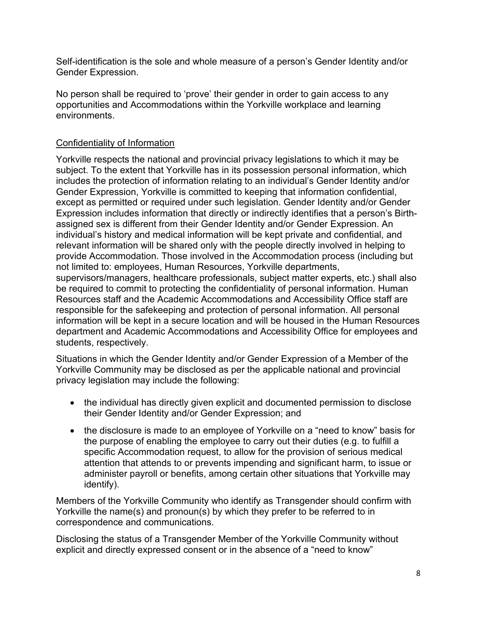Self-identification is the sole and whole measure of a person's Gender Identity and/or Gender Expression.

No person shall be required to 'prove' their gender in order to gain access to any opportunities and Accommodations within the Yorkville workplace and learning environments.

### Confidentiality of Information

Yorkville respects the national and provincial privacy legislations to which it may be subject. To the extent that Yorkville has in its possession personal information, which includes the protection of information relating to an individual's Gender Identity and/or Gender Expression, Yorkville is committed to keeping that information confidential, except as permitted or required under such legislation. Gender Identity and/or Gender Expression includes information that directly or indirectly identifies that a person's Birthassigned sex is different from their Gender Identity and/or Gender Expression. An individual's history and medical information will be kept private and confidential, and relevant information will be shared only with the people directly involved in helping to provide Accommodation. Those involved in the Accommodation process (including but not limited to: employees, Human Resources, Yorkville departments, supervisors/managers, healthcare professionals, subject matter experts, etc.) shall also be required to commit to protecting the confidentiality of personal information. Human Resources staff and the Academic Accommodations and Accessibility Office staff are responsible for the safekeeping and protection of personal information. All personal information will be kept in a secure location and will be housed in the Human Resources department and Academic Accommodations and Accessibility Office for employees and students, respectively.

Situations in which the Gender Identity and/or Gender Expression of a Member of the Yorkville Community may be disclosed as per the applicable national and provincial privacy legislation may include the following:

- the individual has directly given explicit and documented permission to disclose their Gender Identity and/or Gender Expression; and
- the disclosure is made to an employee of Yorkville on a "need to know" basis for the purpose of enabling the employee to carry out their duties (e.g. to fulfill a specific Accommodation request, to allow for the provision of serious medical attention that attends to or prevents impending and significant harm, to issue or administer payroll or benefits, among certain other situations that Yorkville may identify).

Members of the Yorkville Community who identify as Transgender should confirm with Yorkville the name(s) and pronoun(s) by which they prefer to be referred to in correspondence and communications.

Disclosing the status of a Transgender Member of the Yorkville Community without explicit and directly expressed consent or in the absence of a "need to know"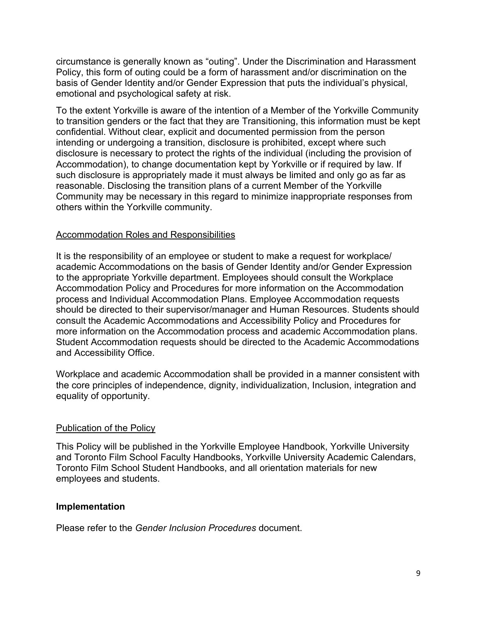circumstance is generally known as "outing". Under the Discrimination and Harassment Policy, this form of outing could be a form of harassment and/or discrimination on the basis of Gender Identity and/or Gender Expression that puts the individual's physical, emotional and psychological safety at risk.

To the extent Yorkville is aware of the intention of a Member of the Yorkville Community to transition genders or the fact that they are Transitioning, this information must be kept confidential. Without clear, explicit and documented permission from the person intending or undergoing a transition, disclosure is prohibited, except where such disclosure is necessary to protect the rights of the individual (including the provision of Accommodation), to change documentation kept by Yorkville or if required by law. If such disclosure is appropriately made it must always be limited and only go as far as reasonable. Disclosing the transition plans of a current Member of the Yorkville Community may be necessary in this regard to minimize inappropriate responses from others within the Yorkville community.

### Accommodation Roles and Responsibilities

It is the responsibility of an employee or student to make a request for workplace/ academic Accommodations on the basis of Gender Identity and/or Gender Expression to the appropriate Yorkville department. Employees should consult the Workplace Accommodation Policy and Procedures for more information on the Accommodation process and Individual Accommodation Plans. Employee Accommodation requests should be directed to their supervisor/manager and Human Resources. Students should consult the Academic Accommodations and Accessibility Policy and Procedures for more information on the Accommodation process and academic Accommodation plans. Student Accommodation requests should be directed to the Academic Accommodations and Accessibility Office.

Workplace and academic Accommodation shall be provided in a manner consistent with the core principles of independence, dignity, individualization, Inclusion, integration and equality of opportunity.

### Publication of the Policy

This Policy will be published in the Yorkville Employee Handbook, Yorkville University and Toronto Film School Faculty Handbooks, Yorkville University Academic Calendars, Toronto Film School Student Handbooks, and all orientation materials for new employees and students.

### **Implementation**

Please refer to the *Gender Inclusion Procedures* document.